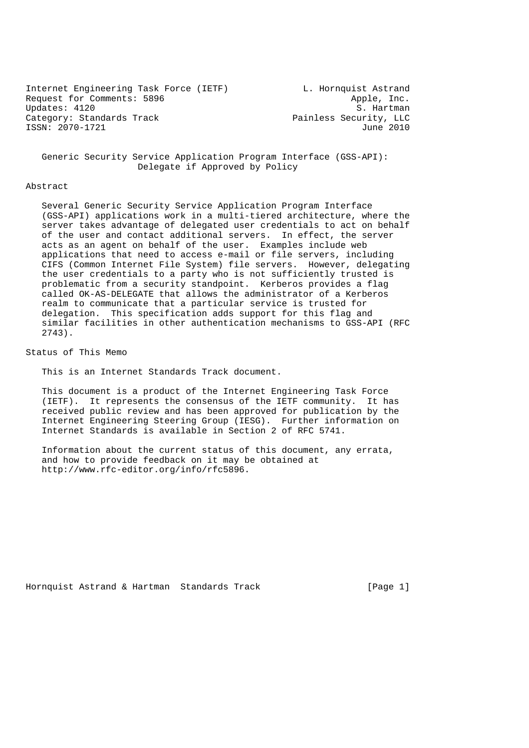Internet Engineering Task Force (IETF) L. Hornquist Astrand Request for Comments: 5896 Apple, Inc.<br>
Updates: 4120 S. Hartman Updates: 4120 Category: Standards Track Track Painless Security, LLC ISSN: 2070-1721 June 2010

 Generic Security Service Application Program Interface (GSS-API): Delegate if Approved by Policy

#### Abstract

 Several Generic Security Service Application Program Interface (GSS-API) applications work in a multi-tiered architecture, where the server takes advantage of delegated user credentials to act on behalf of the user and contact additional servers. In effect, the server acts as an agent on behalf of the user. Examples include web applications that need to access e-mail or file servers, including CIFS (Common Internet File System) file servers. However, delegating the user credentials to a party who is not sufficiently trusted is problematic from a security standpoint. Kerberos provides a flag called OK-AS-DELEGATE that allows the administrator of a Kerberos realm to communicate that a particular service is trusted for delegation. This specification adds support for this flag and similar facilities in other authentication mechanisms to GSS-API (RFC 2743).

Status of This Memo

This is an Internet Standards Track document.

 This document is a product of the Internet Engineering Task Force (IETF). It represents the consensus of the IETF community. It has received public review and has been approved for publication by the Internet Engineering Steering Group (IESG). Further information on Internet Standards is available in Section 2 of RFC 5741.

 Information about the current status of this document, any errata, and how to provide feedback on it may be obtained at http://www.rfc-editor.org/info/rfc5896.

Hornquist Astrand & Hartman Standards Track [Page 1]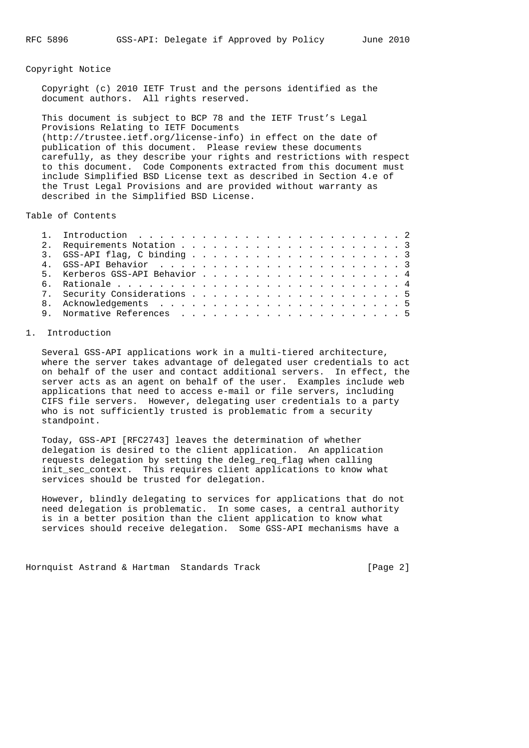### Copyright Notice

 Copyright (c) 2010 IETF Trust and the persons identified as the document authors. All rights reserved.

 This document is subject to BCP 78 and the IETF Trust's Legal Provisions Relating to IETF Documents (http://trustee.ietf.org/license-info) in effect on the date of publication of this document. Please review these documents carefully, as they describe your rights and restrictions with respect to this document. Code Components extracted from this document must include Simplified BSD License text as described in Section 4.e of the Trust Legal Provisions and are provided without warranty as described in the Simplified BSD License.

Table of Contents

|  | 5. Kerberos GSS-API Behavior 4 |  |  |  |  |  |  |  |  |  |  |
|--|--------------------------------|--|--|--|--|--|--|--|--|--|--|
|  |                                |  |  |  |  |  |  |  |  |  |  |
|  |                                |  |  |  |  |  |  |  |  |  |  |
|  |                                |  |  |  |  |  |  |  |  |  |  |
|  |                                |  |  |  |  |  |  |  |  |  |  |
|  |                                |  |  |  |  |  |  |  |  |  |  |

# 1. Introduction

 Several GSS-API applications work in a multi-tiered architecture, where the server takes advantage of delegated user credentials to act on behalf of the user and contact additional servers. In effect, the server acts as an agent on behalf of the user. Examples include web applications that need to access e-mail or file servers, including CIFS file servers. However, delegating user credentials to a party who is not sufficiently trusted is problematic from a security standpoint.

 Today, GSS-API [RFC2743] leaves the determination of whether delegation is desired to the client application. An application requests delegation by setting the deleg\_req\_flag when calling init\_sec\_context. This requires client applications to know what services should be trusted for delegation.

 However, blindly delegating to services for applications that do not need delegation is problematic. In some cases, a central authority is in a better position than the client application to know what services should receive delegation. Some GSS-API mechanisms have a

Hornquist Astrand & Hartman Standards Track [Page 2]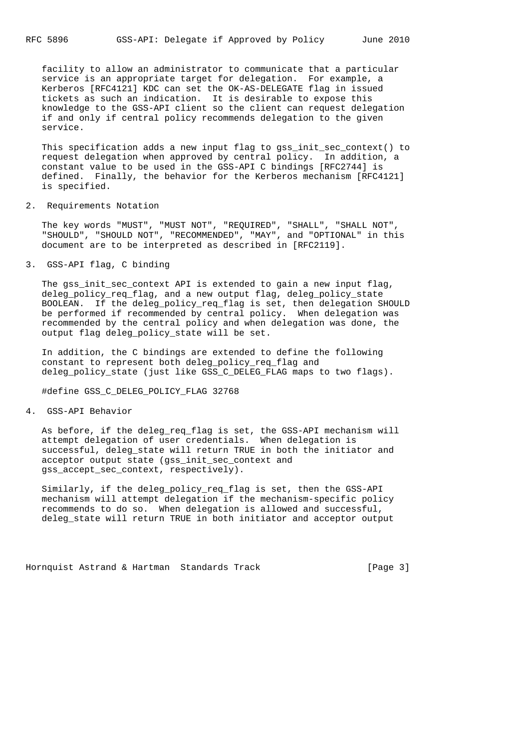facility to allow an administrator to communicate that a particular service is an appropriate target for delegation. For example, a Kerberos [RFC4121] KDC can set the OK-AS-DELEGATE flag in issued tickets as such an indication. It is desirable to expose this knowledge to the GSS-API client so the client can request delegation if and only if central policy recommends delegation to the given service.

This specification adds a new input flag to gss init sec context() to request delegation when approved by central policy. In addition, a constant value to be used in the GSS-API C bindings [RFC2744] is defined. Finally, the behavior for the Kerberos mechanism [RFC4121] is specified.

2. Requirements Notation

 The key words "MUST", "MUST NOT", "REQUIRED", "SHALL", "SHALL NOT", "SHOULD", "SHOULD NOT", "RECOMMENDED", "MAY", and "OPTIONAL" in this document are to be interpreted as described in [RFC2119].

3. GSS-API flag, C binding

 The gss\_init\_sec\_context API is extended to gain a new input flag, deleg policy reg flag, and a new output flag, deleg policy state BOOLEAN. If the deleg\_policy\_req\_flag is set, then delegation SHOULD be performed if recommended by central policy. When delegation was recommended by the central policy and when delegation was done, the output flag deleg\_policy\_state will be set.

 In addition, the C bindings are extended to define the following constant to represent both deleg\_policy\_req\_flag and deleg\_policy\_state (just like GSS\_C\_DELEG\_FLAG maps to two flags).

#define GSS\_C\_DELEG\_POLICY\_FLAG 32768

4. GSS-API Behavior

 As before, if the deleg\_req\_flag is set, the GSS-API mechanism will attempt delegation of user credentials. When delegation is successful, deleg\_state will return TRUE in both the initiator and acceptor output state (gss\_init\_sec\_context and gss\_accept\_sec\_context, respectively).

 Similarly, if the deleg\_policy\_req\_flag is set, then the GSS-API mechanism will attempt delegation if the mechanism-specific policy recommends to do so. When delegation is allowed and successful, deleg\_state will return TRUE in both initiator and acceptor output

Hornquist Astrand & Hartman Standards Track [Page 3]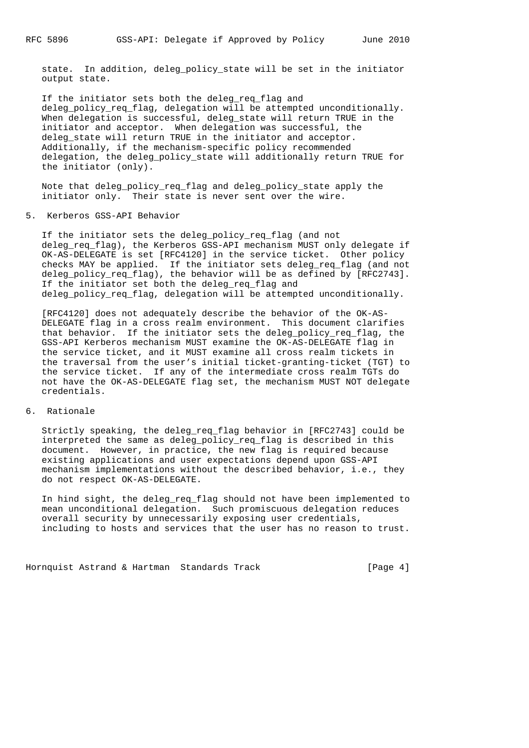state. In addition, deleg\_policy\_state will be set in the initiator output state.

 If the initiator sets both the deleg\_req\_flag and deleg\_policy\_req\_flag, delegation will be attempted unconditionally. When delegation is successful, deleg\_state will return TRUE in the initiator and acceptor. When delegation was successful, the deleg\_state will return TRUE in the initiator and acceptor. Additionally, if the mechanism-specific policy recommended delegation, the deleg\_policy\_state will additionally return TRUE for the initiator (only).

 Note that deleg\_policy\_req\_flag and deleg\_policy\_state apply the initiator only. Their state is never sent over the wire.

5. Kerberos GSS-API Behavior

 If the initiator sets the deleg\_policy\_req\_flag (and not deleg\_req\_flag), the Kerberos GSS-API mechanism MUST only delegate if OK-AS-DELEGATE is set [RFC4120] in the service ticket. Other policy checks MAY be applied. If the initiator sets deleg\_req\_flag (and not deleg\_policy\_req\_flag), the behavior will be as defined by [RFC2743]. If the initiator set both the deleg\_req\_flag and deleg policy reg flag, delegation will be attempted unconditionally.

 [RFC4120] does not adequately describe the behavior of the OK-AS- DELEGATE flag in a cross realm environment. This document clarifies that behavior. If the initiator sets the deleg\_policy\_req\_flag, the GSS-API Kerberos mechanism MUST examine the OK-AS-DELEGATE flag in the service ticket, and it MUST examine all cross realm tickets in the traversal from the user's initial ticket-granting-ticket (TGT) to the service ticket. If any of the intermediate cross realm TGTs do not have the OK-AS-DELEGATE flag set, the mechanism MUST NOT delegate credentials.

6. Rationale

 Strictly speaking, the deleg\_req\_flag behavior in [RFC2743] could be interpreted the same as deleg\_policy\_req\_flag is described in this document. However, in practice, the new flag is required because existing applications and user expectations depend upon GSS-API mechanism implementations without the described behavior, i.e., they do not respect OK-AS-DELEGATE.

 In hind sight, the deleg\_req\_flag should not have been implemented to mean unconditional delegation. Such promiscuous delegation reduces overall security by unnecessarily exposing user credentials, including to hosts and services that the user has no reason to trust.

Hornquist Astrand & Hartman Standards Track [Page 4]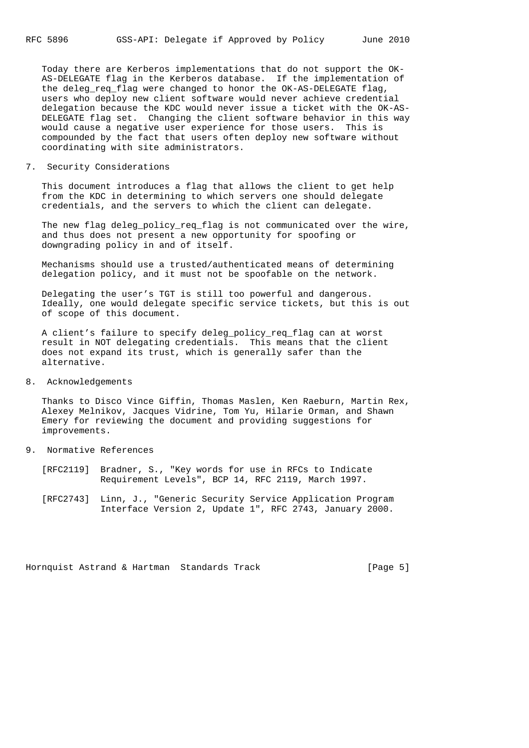Today there are Kerberos implementations that do not support the OK- AS-DELEGATE flag in the Kerberos database. If the implementation of the deleg reg flag were changed to honor the OK-AS-DELEGATE flag, users who deploy new client software would never achieve credential delegation because the KDC would never issue a ticket with the OK-AS- DELEGATE flag set. Changing the client software behavior in this way would cause a negative user experience for those users. This is compounded by the fact that users often deploy new software without coordinating with site administrators.

# 7. Security Considerations

 This document introduces a flag that allows the client to get help from the KDC in determining to which servers one should delegate credentials, and the servers to which the client can delegate.

 The new flag deleg\_policy\_req\_flag is not communicated over the wire, and thus does not present a new opportunity for spoofing or downgrading policy in and of itself.

 Mechanisms should use a trusted/authenticated means of determining delegation policy, and it must not be spoofable on the network.

 Delegating the user's TGT is still too powerful and dangerous. Ideally, one would delegate specific service tickets, but this is out of scope of this document.

 A client's failure to specify deleg\_policy\_req\_flag can at worst result in NOT delegating credentials. This means that the client does not expand its trust, which is generally safer than the alternative.

# 8. Acknowledgements

 Thanks to Disco Vince Giffin, Thomas Maslen, Ken Raeburn, Martin Rex, Alexey Melnikov, Jacques Vidrine, Tom Yu, Hilarie Orman, and Shawn Emery for reviewing the document and providing suggestions for improvements.

- 9. Normative References
	- [RFC2119] Bradner, S., "Key words for use in RFCs to Indicate Requirement Levels", BCP 14, RFC 2119, March 1997.
	- [RFC2743] Linn, J., "Generic Security Service Application Program Interface Version 2, Update 1", RFC 2743, January 2000.

Hornquist Astrand & Hartman Standards Track [Page 5]